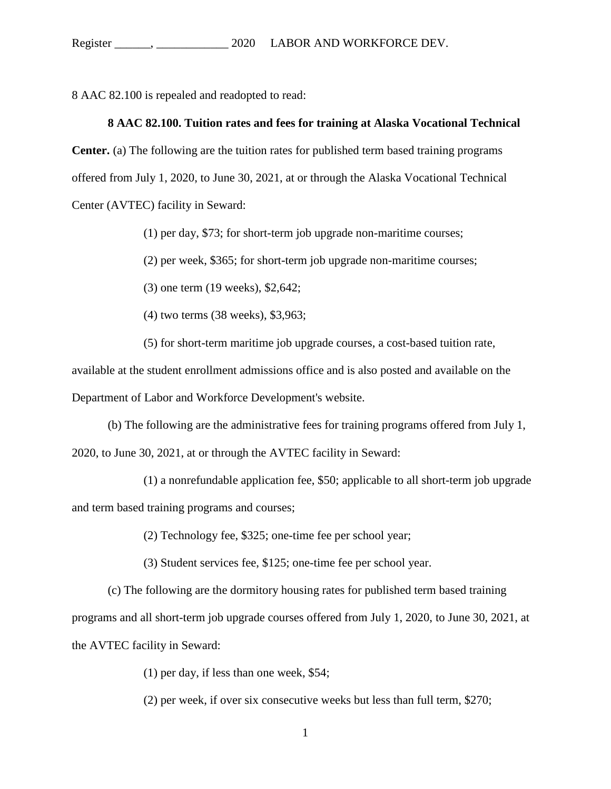8 AAC 82.100 is repealed and readopted to read:

## **[8 AAC 82.100. Tuition rates and fees for training](http://www.legis.state.ak.us/basis/aac.asp#8.82.100) at Alaska Vocational Technical**

**[Center.](http://www.legis.state.ak.us/basis/aac.asp#8.82.100)** (a) The following are the tuition rates for published term based training programs offered from July 1, 2020, to June 30, 2021, at or through the Alaska Vocational Technical Center (AVTEC) facility in Seward:

(1) per day, \$73; for short-term job upgrade non-maritime courses;

(2) per week, \$365; for short-term job upgrade non-maritime courses;

(3) one term (19 weeks), \$2,642;

(4) two terms (38 weeks), \$3,963;

(5) for short-term maritime job upgrade courses, a cost-based tuition rate,

available at the student enrollment admissions office and is also posted and available on the Department of Labor and Workforce Development's website.

(b) The following are the administrative fees for training programs offered from July 1, 2020, to June 30, 2021, at or through the AVTEC facility in Seward:

(1) a nonrefundable application fee, \$50; applicable to all short-term job upgrade and term based training programs and courses;

(2) Technology fee, \$325; one-time fee per school year;

(3) Student services fee, \$125; one-time fee per school year.

(c) The following are the dormitory housing rates for published term based training

programs and all short-term job upgrade courses offered from July 1, 2020, to June 30, 2021, at the AVTEC facility in Seward:

(1) per day, if less than one week, \$54;

(2) per week, if over six consecutive weeks but less than full term, \$270;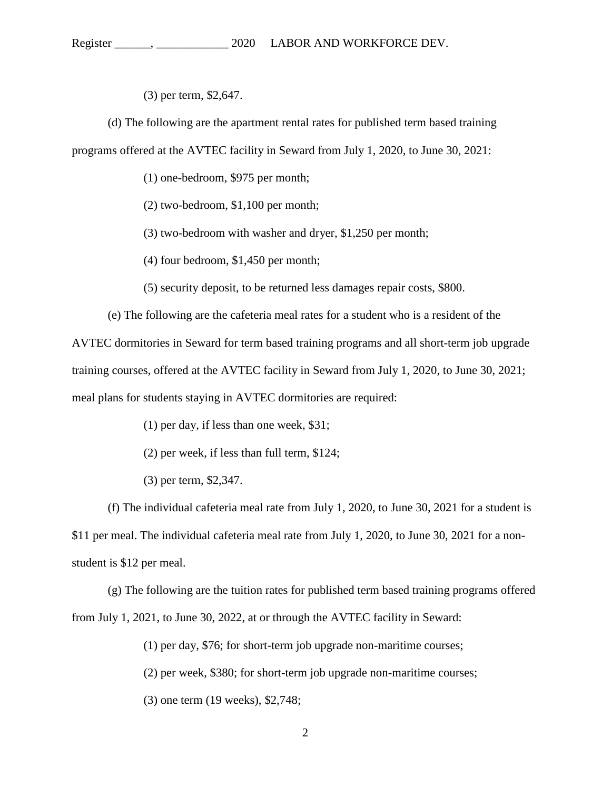(3) per term, \$2,647.

(d) The following are the apartment rental rates for published term based training programs offered at the AVTEC facility in Seward from July 1, 2020, to June 30, 2021:

(1) one-bedroom, \$975 per month;

(2) two-bedroom, \$1,100 per month;

(3) two-bedroom with washer and dryer, \$1,250 per month;

(4) four bedroom, \$1,450 per month;

(5) security deposit, to be returned less damages repair costs, \$800.

(e) The following are the cafeteria meal rates for a student who is a resident of the

AVTEC dormitories in Seward for term based training programs and all short-term job upgrade training courses, offered at the AVTEC facility in Seward from July 1, 2020, to June 30, 2021; meal plans for students staying in AVTEC dormitories are required:

(1) per day, if less than one week, \$31;

(2) per week, if less than full term, \$124;

(3) per term, \$2,347.

(f) The individual cafeteria meal rate from July 1, 2020, to June 30, 2021 for a student is \$11 per meal. The individual cafeteria meal rate from July 1, 2020, to June 30, 2021 for a nonstudent is \$12 per meal.

(g) The following are the tuition rates for published term based training programs offered from July 1, 2021, to June 30, 2022, at or through the AVTEC facility in Seward:

(1) per day, \$76; for short-term job upgrade non-maritime courses;

(2) per week, \$380; for short-term job upgrade non-maritime courses;

(3) one term (19 weeks), \$2,748;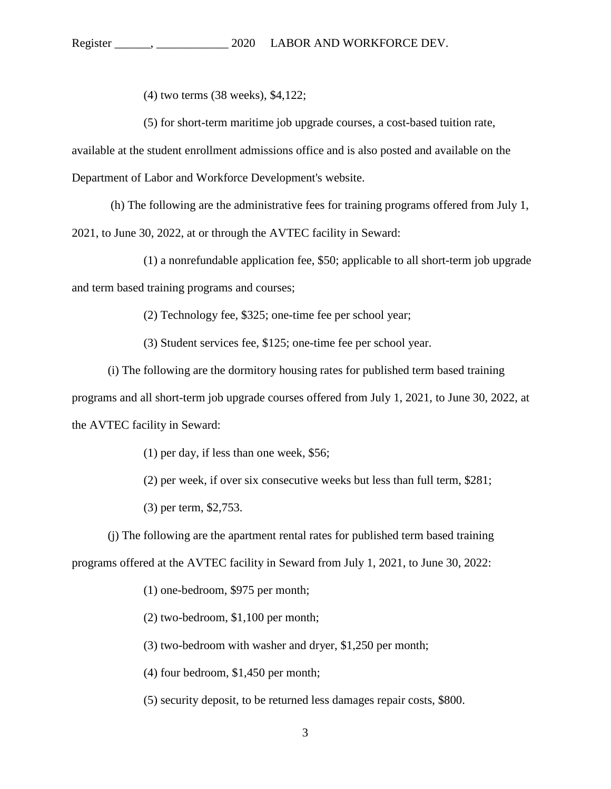(4) two terms (38 weeks), \$4,122;

(5) for short-term maritime job upgrade courses, a cost-based tuition rate,

available at the student enrollment admissions office and is also posted and available on the Department of Labor and Workforce Development's website.

(h) The following are the administrative fees for training programs offered from July 1,

2021, to June 30, 2022, at or through the AVTEC facility in Seward:

(1) a nonrefundable application fee, \$50; applicable to all short-term job upgrade and term based training programs and courses;

(2) Technology fee, \$325; one-time fee per school year;

(3) Student services fee, \$125; one-time fee per school year.

(i) The following are the dormitory housing rates for published term based training

programs and all short-term job upgrade courses offered from July 1, 2021, to June 30, 2022, at the AVTEC facility in Seward:

(1) per day, if less than one week, \$56;

(2) per week, if over six consecutive weeks but less than full term, \$281;

(3) per term, \$2,753.

(j) The following are the apartment rental rates for published term based training programs offered at the AVTEC facility in Seward from July 1, 2021, to June 30, 2022:

(1) one-bedroom, \$975 per month;

(2) two-bedroom, \$1,100 per month;

(3) two-bedroom with washer and dryer, \$1,250 per month;

(4) four bedroom, \$1,450 per month;

(5) security deposit, to be returned less damages repair costs, \$800.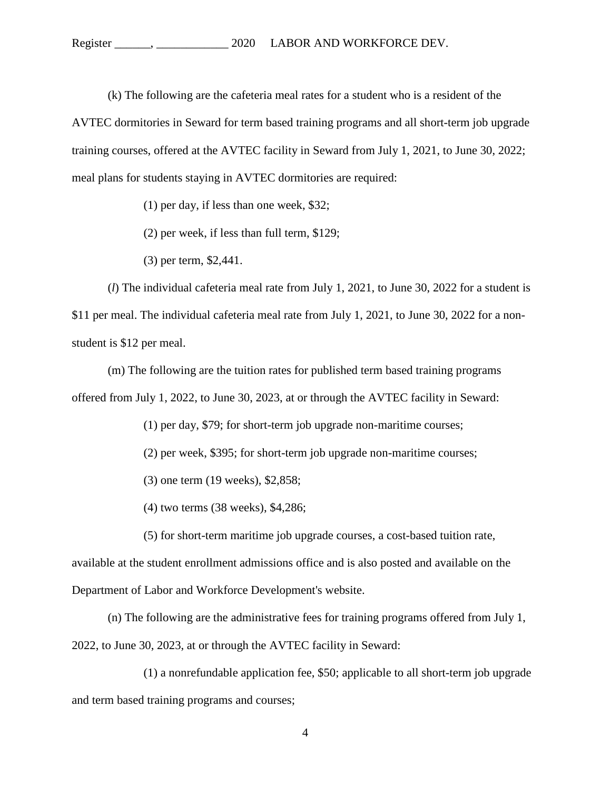(k) The following are the cafeteria meal rates for a student who is a resident of the AVTEC dormitories in Seward for term based training programs and all short-term job upgrade training courses, offered at the AVTEC facility in Seward from July 1, 2021, to June 30, 2022; meal plans for students staying in AVTEC dormitories are required:

(1) per day, if less than one week, \$32;

(2) per week, if less than full term, \$129;

(3) per term, \$2,441.

(*l*) The individual cafeteria meal rate from July 1, 2021, to June 30, 2022 for a student is \$11 per meal. The individual cafeteria meal rate from July 1, 2021, to June 30, 2022 for a nonstudent is \$12 per meal.

(m) The following are the tuition rates for published term based training programs offered from July 1, 2022, to June 30, 2023, at or through the AVTEC facility in Seward:

(1) per day, \$79; for short-term job upgrade non-maritime courses;

(2) per week, \$395; for short-term job upgrade non-maritime courses;

(3) one term (19 weeks), \$2,858;

(4) two terms (38 weeks), \$4,286;

(5) for short-term maritime job upgrade courses, a cost-based tuition rate,

available at the student enrollment admissions office and is also posted and available on the Department of Labor and Workforce Development's website.

(n) The following are the administrative fees for training programs offered from July 1, 2022, to June 30, 2023, at or through the AVTEC facility in Seward:

(1) a nonrefundable application fee, \$50; applicable to all short-term job upgrade and term based training programs and courses;

4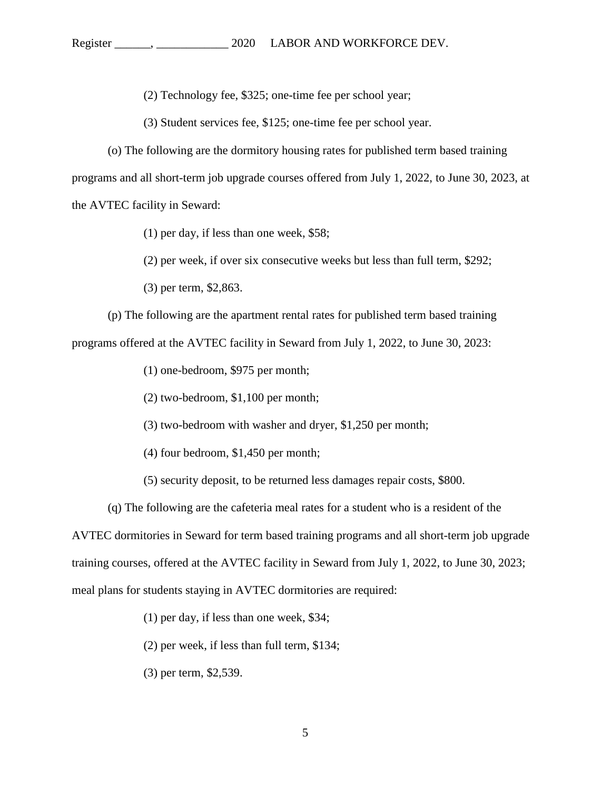(2) Technology fee, \$325; one-time fee per school year;

(3) Student services fee, \$125; one-time fee per school year.

(o) The following are the dormitory housing rates for published term based training programs and all short-term job upgrade courses offered from July 1, 2022, to June 30, 2023, at the AVTEC facility in Seward:

- (1) per day, if less than one week, \$58;
- (2) per week, if over six consecutive weeks but less than full term, \$292;
- (3) per term, \$2,863.

(p) The following are the apartment rental rates for published term based training programs offered at the AVTEC facility in Seward from July 1, 2022, to June 30, 2023:

- (1) one-bedroom, \$975 per month;
- (2) two-bedroom, \$1,100 per month;
- (3) two-bedroom with washer and dryer, \$1,250 per month;
- (4) four bedroom, \$1,450 per month;
- (5) security deposit, to be returned less damages repair costs, \$800.
- (q) The following are the cafeteria meal rates for a student who is a resident of the

AVTEC dormitories in Seward for term based training programs and all short-term job upgrade training courses, offered at the AVTEC facility in Seward from July 1, 2022, to June 30, 2023; meal plans for students staying in AVTEC dormitories are required:

- (1) per day, if less than one week, \$34;
- (2) per week, if less than full term, \$134;
- (3) per term, \$2,539.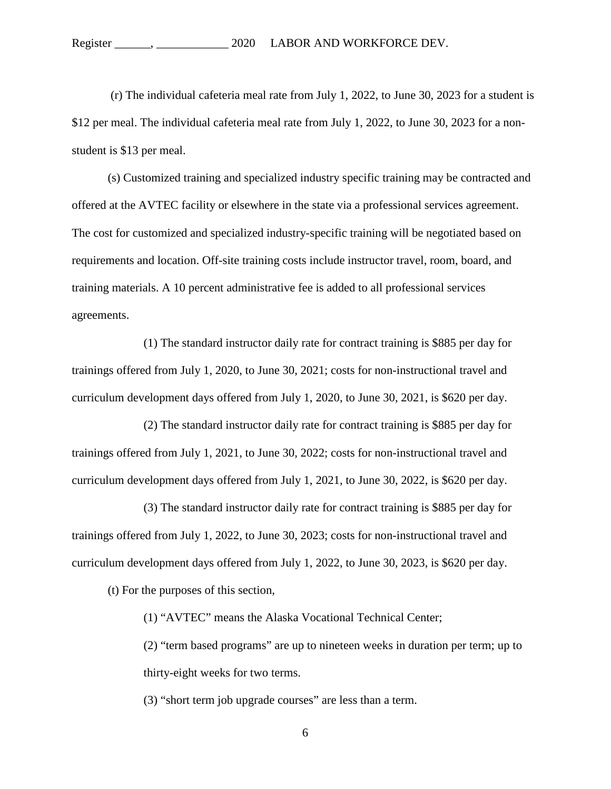(r) The individual cafeteria meal rate from July 1, 2022, to June 30, 2023 for a student is \$12 per meal. The individual cafeteria meal rate from July 1, 2022, to June 30, 2023 for a nonstudent is \$13 per meal.

(s) Customized training and specialized industry specific training may be contracted and offered at the AVTEC facility or elsewhere in the state via a professional services agreement. The cost for customized and specialized industry-specific training will be negotiated based on requirements and location. Off-site training costs include instructor travel, room, board, and training materials. A 10 percent administrative fee is added to all professional services agreements.

(1) The standard instructor daily rate for contract training is \$885 per day for trainings offered from July 1, 2020, to June 30, 2021; costs for non-instructional travel and curriculum development days offered from July 1, 2020, to June 30, 2021, is \$620 per day.

(2) The standard instructor daily rate for contract training is \$885 per day for trainings offered from July 1, 2021, to June 30, 2022; costs for non-instructional travel and curriculum development days offered from July 1, 2021, to June 30, 2022, is \$620 per day.

(3) The standard instructor daily rate for contract training is \$885 per day for trainings offered from July 1, 2022, to June 30, 2023; costs for non-instructional travel and curriculum development days offered from July 1, 2022, to June 30, 2023, is \$620 per day.

(t) For the purposes of this section,

(1) "AVTEC" means the Alaska Vocational Technical Center;

(2) "term based programs" are up to nineteen weeks in duration per term; up to thirty-eight weeks for two terms.

(3) "short term job upgrade courses" are less than a term.

6